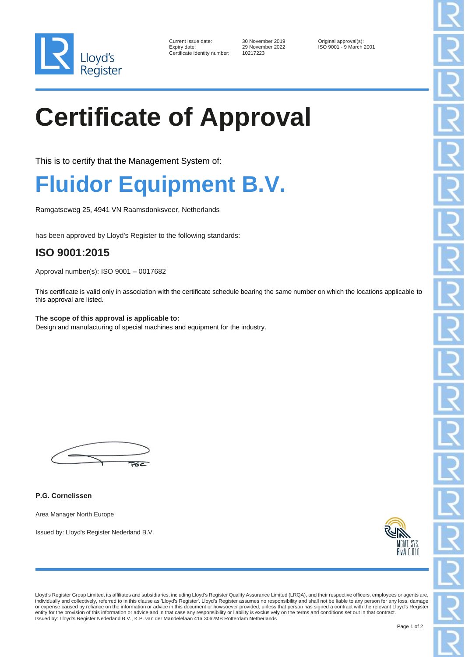

| Current issue date:         |
|-----------------------------|
| Expiry date:                |
| Certificate identity number |

Certificate identity number: 10217223

30 November 2019 Criginal approval(s):<br>29 November 2022 ISO 9001 - 9 March ISO 9001 - 9 March 2001

# **Certificate of Approval**

This is to certify that the Management System of:

### **Fluidor Equipment B.V.**

Ramgatseweg 25, 4941 VN Raamsdonksveer, Netherlands

has been approved by Lloyd's Register to the following standards:

### **ISO 9001:2015**

Approval number(s): ISO 9001 – 0017682

This certificate is valid only in association with the certificate schedule bearing the same number on which the locations applicable to this approval are listed.

**The scope of this approval is applicable to:** Design and manufacturing of special machines and equipment for the industry.

 $\overline{\mathbf{y}}$ 

**P.G. Cornelissen**

Area Manager North Europe

Issued by: Lloyd's Register Nederland B.V.



Lloyd's Register Group Limited, its affiliates and subsidiaries, including Lloyd's Register Quality Assurance Limited (LRQA), and their respective officers, employees or agents are,<br>individually and collectively, referred entity for the provision of this information or advice and in that case any responsibility or liability is exclusively on the terms and conditions set out in that contract.<br>Issued by: Lloyd's Register Nederland B.V., K.P.